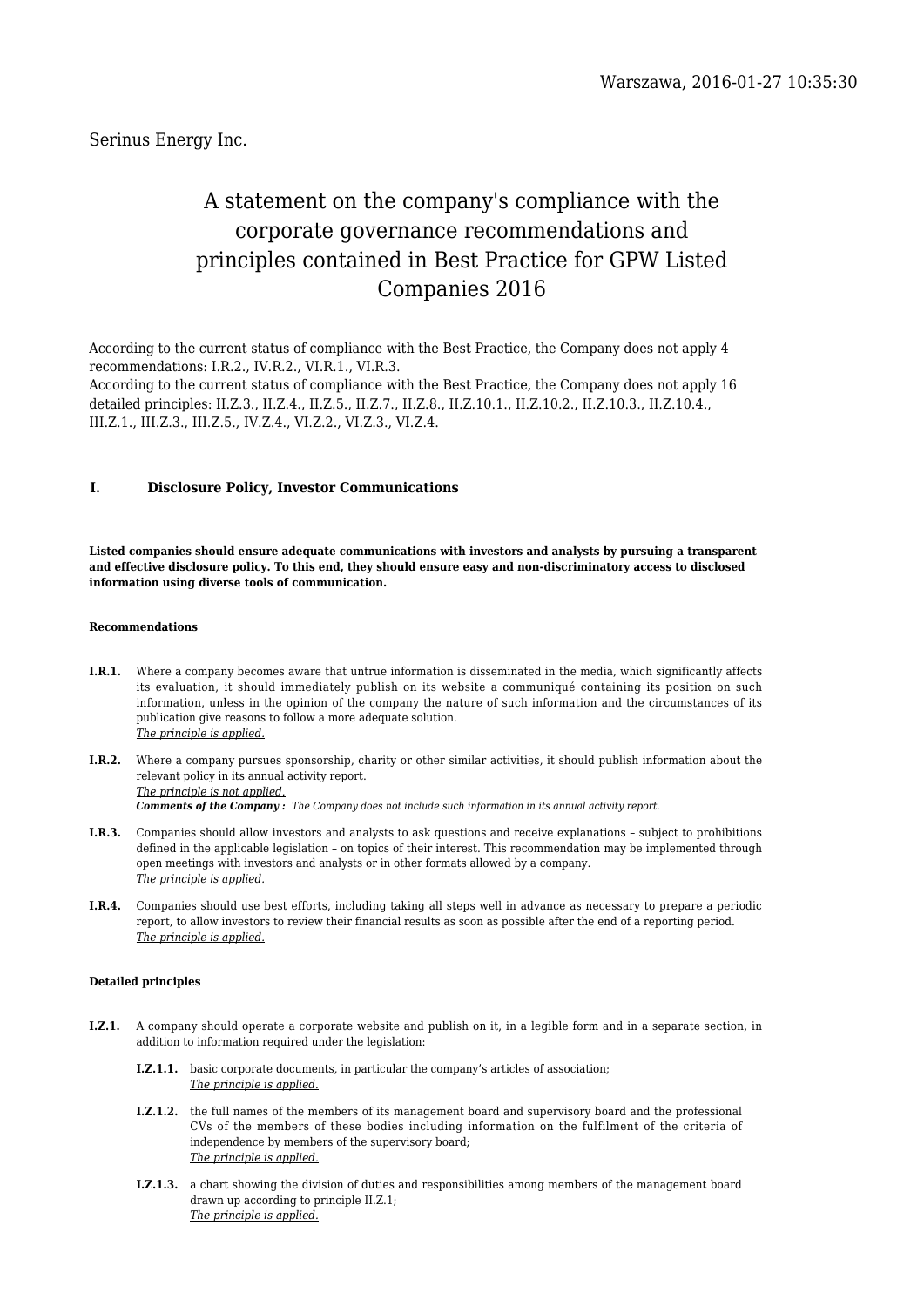Serinus Energy Inc.

# A statement on the company's compliance with the corporate governance recommendations and principles contained in Best Practice for GPW Listed Companies 2016

According to the current status of compliance with the Best Practice, the Company does not apply 4 recommendations: I.R.2., IV.R.2., VI.R.1., VI.R.3.

According to the current status of compliance with the Best Practice, the Company does not apply 16 detailed principles: II.Z.3., II.Z.4., II.Z.5., II.Z.7., II.Z.8., II.Z.10.1., II.Z.10.2., II.Z.10.3., II.Z.10.4., III.Z.1., III.Z.3., III.Z.5., IV.Z.4., VI.Z.2., VI.Z.3., VI.Z.4.

# **I. Disclosure Policy, Investor Communications**

**Listed companies should ensure adequate communications with investors and analysts by pursuing a transparent and effective disclosure policy. To this end, they should ensure easy and non-discriminatory access to disclosed information using diverse tools of communication.**

### **Recommendations**

- **I.R.1.** Where a company becomes aware that untrue information is disseminated in the media, which significantly affects its evaluation, it should immediately publish on its website a communiqué containing its position on such information, unless in the opinion of the company the nature of such information and the circumstances of its publication give reasons to follow a more adequate solution. *The principle is applied.*
- **I.R.2.** Where a company pursues sponsorship, charity or other similar activities, it should publish information about the relevant policy in its annual activity report. *The principle is not applied. Comments of the Company : The Company does not include such information in its annual activity report.*
- **I.R.3.** Companies should allow investors and analysts to ask questions and receive explanations subject to prohibitions defined in the applicable legislation – on topics of their interest. This recommendation may be implemented through open meetings with investors and analysts or in other formats allowed by a company. *The principle is applied.*
- **I.R.4.** Companies should use best efforts, including taking all steps well in advance as necessary to prepare a periodic report, to allow investors to review their financial results as soon as possible after the end of a reporting period. *The principle is applied.*

### **Detailed principles**

- **I.Z.1.** A company should operate a corporate website and publish on it, in a legible form and in a separate section, in addition to information required under the legislation:
	- **I.Z.1.1.** basic corporate documents, in particular the company's articles of association; *The principle is applied.*
	- **I.Z.1.2.** the full names of the members of its management board and supervisory board and the professional CVs of the members of these bodies including information on the fulfilment of the criteria of independence by members of the supervisory board; *The principle is applied.*
	- **I.Z.1.3.** a chart showing the division of duties and responsibilities among members of the management board drawn up according to principle II.Z.1; *The principle is applied.*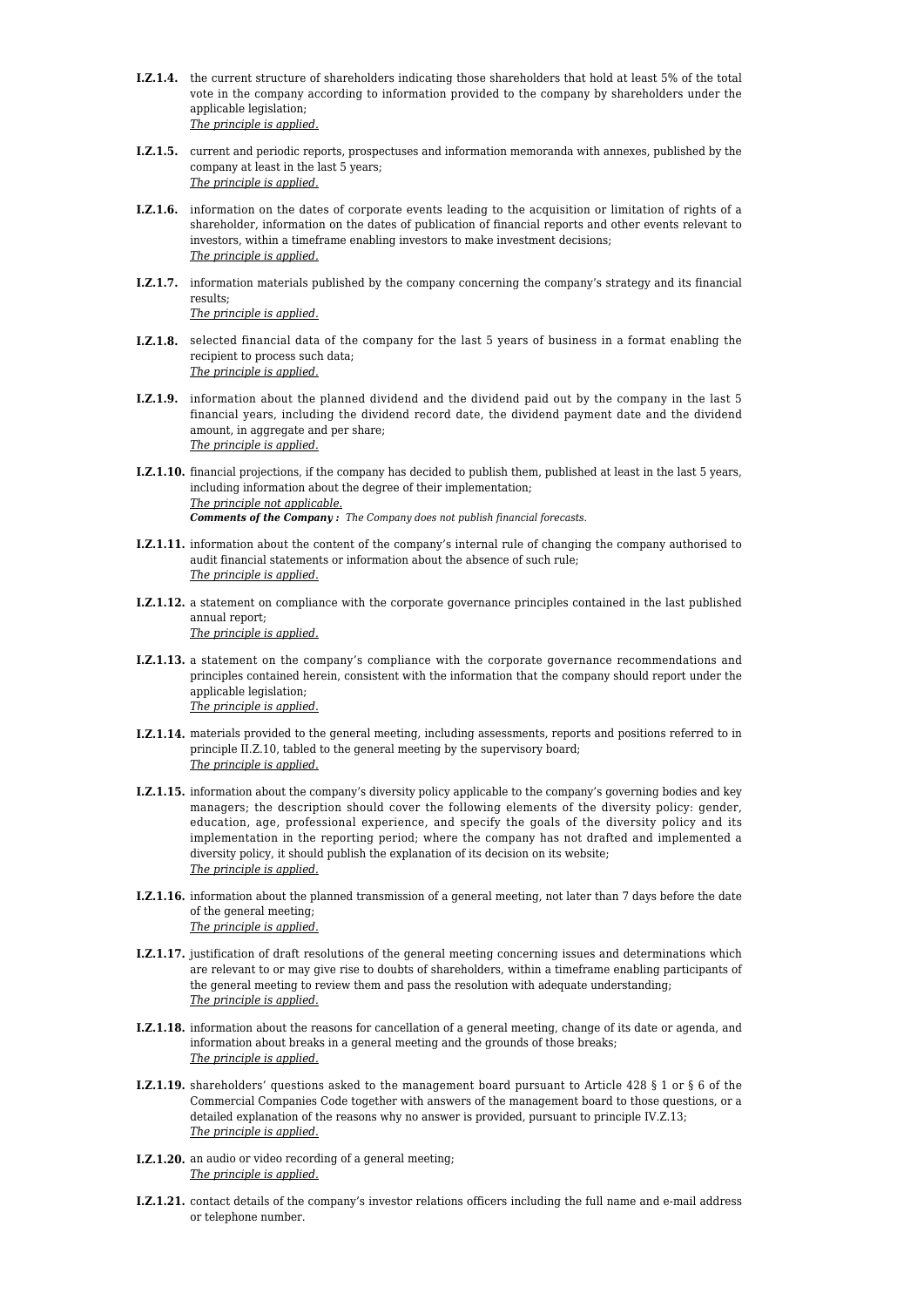- **I.Z.1.4.** the current structure of shareholders indicating those shareholders that hold at least 5% of the total vote in the company according to information provided to the company by shareholders under the applicable legislation; *The principle is applied.*
- **I.Z.1.5.** current and periodic reports, prospectuses and information memoranda with annexes, published by the company at least in the last 5 years; *The principle is applied.*
- **I.Z.1.6.** information on the dates of corporate events leading to the acquisition or limitation of rights of a shareholder, information on the dates of publication of financial reports and other events relevant to investors, within a timeframe enabling investors to make investment decisions; *The principle is applied.*
- **I.Z.1.7.** information materials published by the company concerning the company's strategy and its financial results; *The principle is applied.*
- **I.Z.1.8.** selected financial data of the company for the last 5 years of business in a format enabling the recipient to process such data; *The principle is applied.*
- **I.Z.1.9.** information about the planned dividend and the dividend paid out by the company in the last 5 financial years, including the dividend record date, the dividend payment date and the dividend amount, in aggregate and per share; *The principle is applied.*
- **I.Z.1.10.** financial projections, if the company has decided to publish them, published at least in the last 5 years, including information about the degree of their implementation; *The principle not applicable. Comments of the Company : The Company does not publish financial forecasts.*
- **I.Z.1.11.** information about the content of the company's internal rule of changing the company authorised to audit financial statements or information about the absence of such rule; *The principle is applied.*
- **I.Z.1.12.** a statement on compliance with the corporate governance principles contained in the last published annual report; *The principle is applied.*
- **I.Z.1.13.** a statement on the company's compliance with the corporate governance recommendations and principles contained herein, consistent with the information that the company should report under the applicable legislation;
- *The principle is applied.* **I.Z.1.14.** materials provided to the general meeting, including assessments, reports and positions referred to in principle II.Z.10, tabled to the general meeting by the supervisory board;
- *The principle is applied.* **I.Z.1.15.** information about the company's diversity policy applicable to the company's governing bodies and key managers; the description should cover the following elements of the diversity policy: gender,
- education, age, professional experience, and specify the goals of the diversity policy and its implementation in the reporting period; where the company has not drafted and implemented a diversity policy, it should publish the explanation of its decision on its website; *The principle is applied.*
- **I.Z.1.16.** information about the planned transmission of a general meeting, not later than 7 days before the date of the general meeting; *The principle is applied.*
- **I.Z.1.17.** justification of draft resolutions of the general meeting concerning issues and determinations which are relevant to or may give rise to doubts of shareholders, within a timeframe enabling participants of the general meeting to review them and pass the resolution with adequate understanding; *The principle is applied.*
- **I.Z.1.18.** information about the reasons for cancellation of a general meeting, change of its date or agenda, and information about breaks in a general meeting and the grounds of those breaks; *The principle is applied.*
- **I.Z.1.19.** shareholders' questions asked to the management board pursuant to Article 428 § 1 or § 6 of the Commercial Companies Code together with answers of the management board to those questions, or a detailed explanation of the reasons why no answer is provided, pursuant to principle IV.Z.13; *The principle is applied.*
- **I.Z.1.20.** an audio or video recording of a general meeting; *The principle is applied.*
- **I.Z.1.21.** contact details of the company's investor relations officers including the full name and e-mail address or telephone number.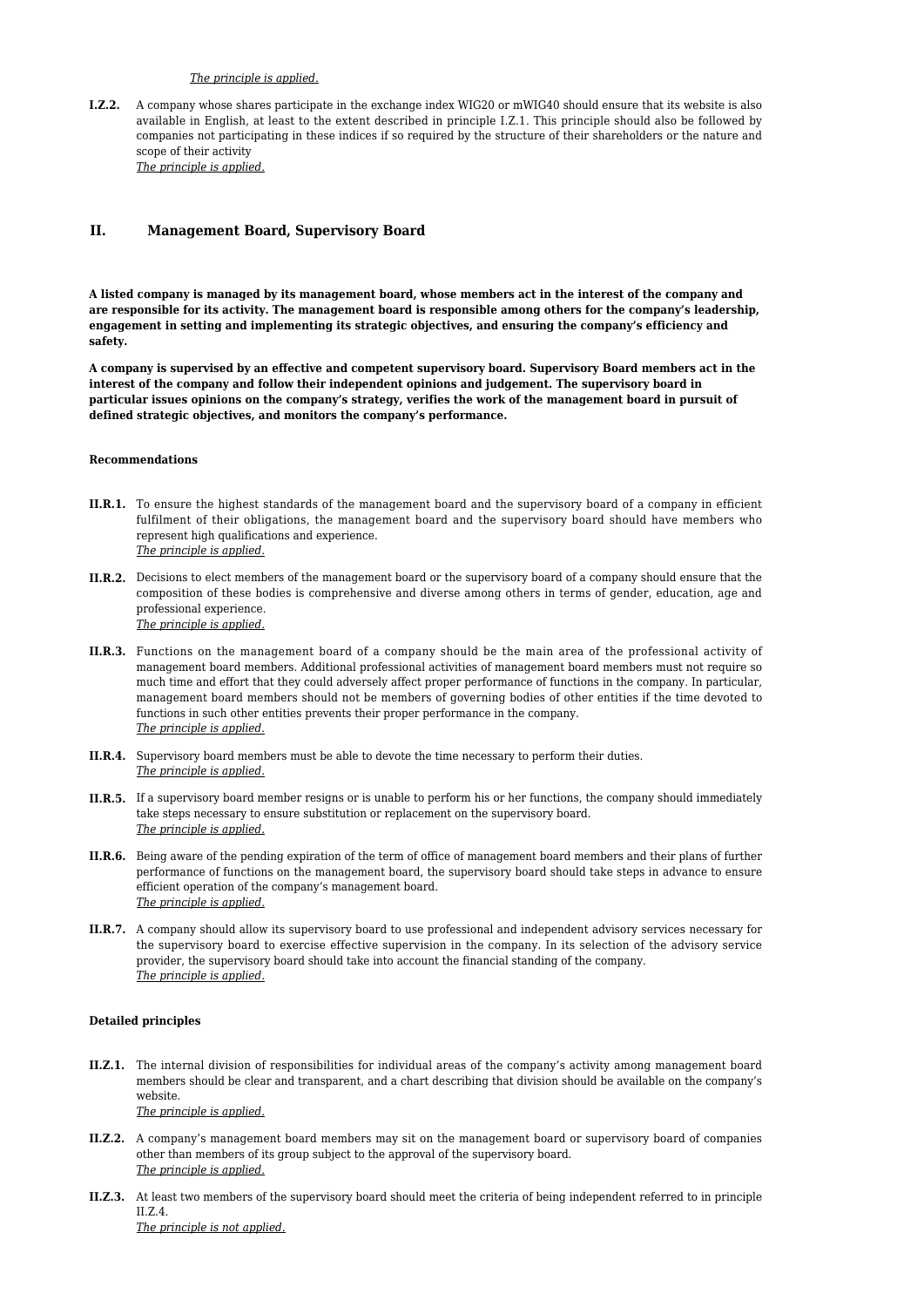# *The principle is applied.*

**I.Z.2.** A company whose shares participate in the exchange index WIG20 or mWIG40 should ensure that its website is also available in English, at least to the extent described in principle I.Z.1. This principle should also be followed by companies not participating in these indices if so required by the structure of their shareholders or the nature and scope of their activity *The principle is applied.*

# **II. Management Board, Supervisory Board**

**A listed company is managed by its management board, whose members act in the interest of the company and are responsible for its activity. The management board is responsible among others for the company's leadership, engagement in setting and implementing its strategic objectives, and ensuring the company's efficiency and safety.**

**A company is supervised by an effective and competent supervisory board. Supervisory Board members act in the interest of the company and follow their independent opinions and judgement. The supervisory board in particular issues opinions on the company's strategy, verifies the work of the management board in pursuit of defined strategic objectives, and monitors the company's performance.**

#### **Recommendations**

- **II.R.1.** To ensure the highest standards of the management board and the supervisory board of a company in efficient fulfilment of their obligations, the management board and the supervisory board should have members who represent high qualifications and experience. *The principle is applied.*
- **II.R.2.** Decisions to elect members of the management board or the supervisory board of a company should ensure that the composition of these bodies is comprehensive and diverse among others in terms of gender, education, age and professional experience. *The principle is applied.*
- **II.R.3.** Functions on the management board of a company should be the main area of the professional activity of management board members. Additional professional activities of management board members must not require so much time and effort that they could adversely affect proper performance of functions in the company. In particular, management board members should not be members of governing bodies of other entities if the time devoted to functions in such other entities prevents their proper performance in the company. *The principle is applied.*
- **II.R.4.** Supervisory board members must be able to devote the time necessary to perform their duties. *The principle is applied.*
- **II.R.5.** If a supervisory board member resigns or is unable to perform his or her functions, the company should immediately take steps necessary to ensure substitution or replacement on the supervisory board. *The principle is applied.*
- **II.R.6.** Being aware of the pending expiration of the term of office of management board members and their plans of further performance of functions on the management board, the supervisory board should take steps in advance to ensure efficient operation of the company's management board. *The principle is applied.*
- **II.R.7.** A company should allow its supervisory board to use professional and independent advisory services necessary for the supervisory board to exercise effective supervision in the company. In its selection of the advisory service provider, the supervisory board should take into account the financial standing of the company. *The principle is applied.*

#### **Detailed principles**

**II.Z.1.** The internal division of responsibilities for individual areas of the company's activity among management board members should be clear and transparent, and a chart describing that division should be available on the company's website.

*The principle is applied.*

- **II.Z.2.** A company's management board members may sit on the management board or supervisory board of companies other than members of its group subject to the approval of the supervisory board. *The principle is applied.*
- **II.Z.3.** At least two members of the supervisory board should meet the criteria of being independent referred to in principle II.Z.4.

*The principle is not applied.*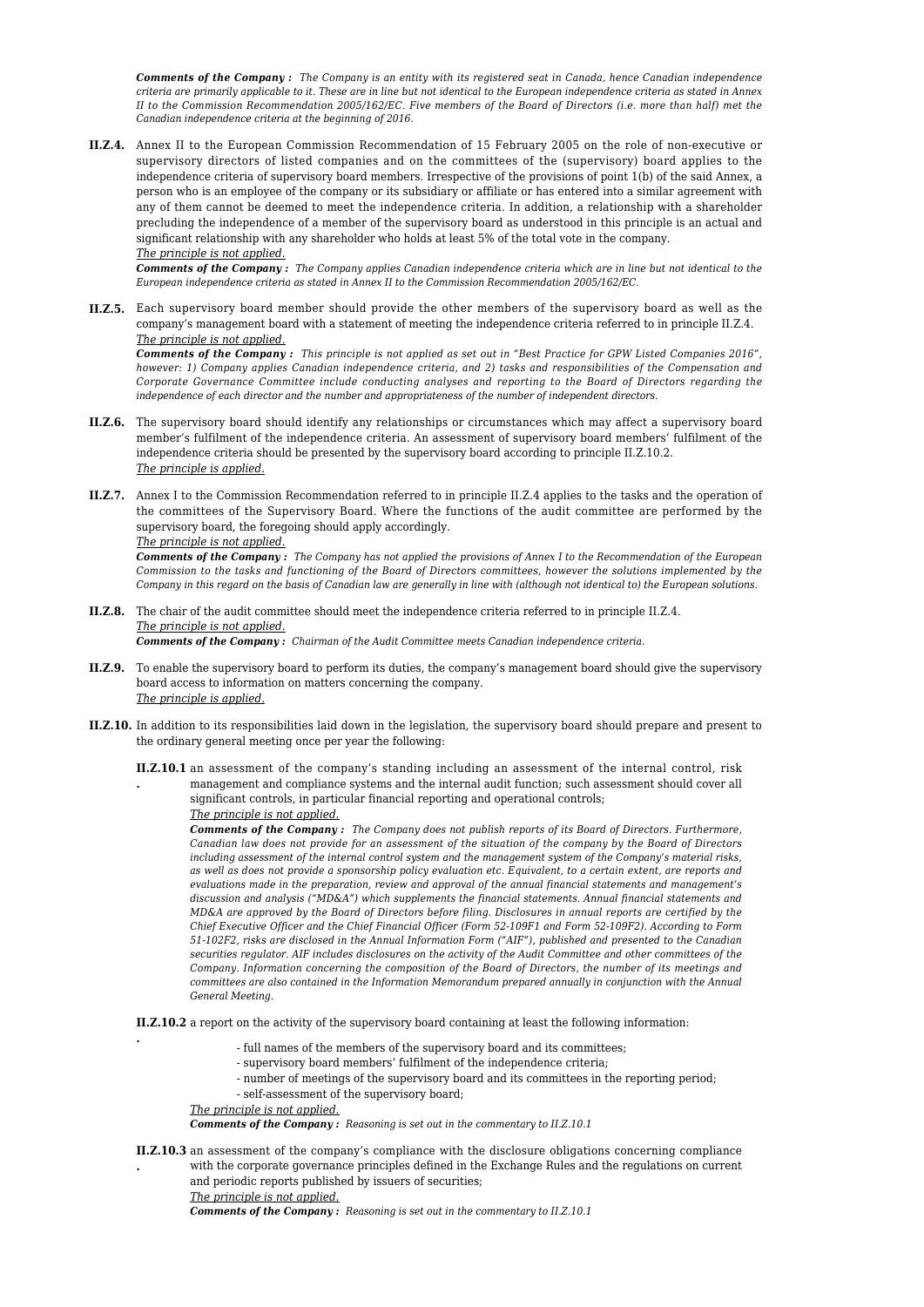*Comments of the Company : The Company is an entity with its registered seat in Canada, hence Canadian independence criteria are primarily applicable to it. These are in line but not identical to the European independence criteria as stated in Annex II to the Commission Recommendation 2005/162/EC. Five members of the Board of Directors (i.e. more than half) met the Canadian independence criteria at the beginning of 2016.*

**II.Z.4.** Annex II to the European Commission Recommendation of 15 February 2005 on the role of non-executive or supervisory directors of listed companies and on the committees of the (supervisory) board applies to the independence criteria of supervisory board members. Irrespective of the provisions of point 1(b) of the said Annex, a person who is an employee of the company or its subsidiary or affiliate or has entered into a similar agreement with any of them cannot be deemed to meet the independence criteria. In addition, a relationship with a shareholder precluding the independence of a member of the supervisory board as understood in this principle is an actual and significant relationship with any shareholder who holds at least 5% of the total vote in the company. *The principle is not applied.*

*Comments of the Company : The Company applies Canadian independence criteria which are in line but not identical to the European independence criteria as stated in Annex II to the Commission Recommendation 2005/162/EC.*

**II.Z.5.** Each supervisory board member should provide the other members of the supervisory board as well as the company's management board with a statement of meeting the independence criteria referred to in principle II.Z.4. *The principle is not applied.*

*Comments of the Company : This principle is not applied as set out in "Best Practice for GPW Listed Companies 2016", however: 1) Company applies Canadian independence criteria, and 2) tasks and responsibilities of the Compensation and Corporate Governance Committee include conducting analyses and reporting to the Board of Directors regarding the independence of each director and the number and appropriateness of the number of independent directors.*

- **II.Z.6.** The supervisory board should identify any relationships or circumstances which may affect a supervisory board member's fulfilment of the independence criteria. An assessment of supervisory board members' fulfilment of the independence criteria should be presented by the supervisory board according to principle II.Z.10.2. *The principle is applied.*
- **II.Z.7.** Annex I to the Commission Recommendation referred to in principle II.Z.4 applies to the tasks and the operation of the committees of the Supervisory Board. Where the functions of the audit committee are performed by the supervisory board, the foregoing should apply accordingly.

*The principle is not applied.*

*Comments of the Company : The Company has not applied the provisions of Annex I to the Recommendation of the European Commission to the tasks and functioning of the Board of Directors committees, however the solutions implemented by the Company in this regard on the basis of Canadian law are generally in line with (although not identical to) the European solutions.*

#### **II.Z.8.** The chair of the audit committee should meet the independence criteria referred to in principle II.Z.4. *The principle is not applied. Comments of the Company : Chairman of the Audit Committee meets Canadian independence criteria.*

- **II.Z.9.** To enable the supervisory board to perform its duties, the company's management board should give the supervisory board access to information on matters concerning the company. *The principle is applied.*
- **II.Z.10.** In addition to its responsibilities laid down in the legislation, the supervisory board should prepare and present to the ordinary general meeting once per year the following:
	- **II.Z.10.1** an assessment of the company's standing including an assessment of the internal control, risk **.** management and compliance systems and the internal audit function; such assessment should cover all
		- significant controls, in particular financial reporting and operational controls;

*The principle is not applied.*

*Comments of the Company : The Company does not publish reports of its Board of Directors. Furthermore, Canadian law does not provide for an assessment of the situation of the company by the Board of Directors including assessment of the internal control system and the management system of the Company's material risks, as well as does not provide a sponsorship policy evaluation etc. Equivalent, to a certain extent, are reports and evaluations made in the preparation, review and approval of the annual financial statements and management's discussion and analysis ("MD&A") which supplements the financial statements. Annual financial statements and MD&A are approved by the Board of Directors before filing. Disclosures in annual reports are certified by the Chief Executive Officer and the Chief Financial Officer (Form 52-109F1 and Form 52-109F2). According to Form 51-102F2, risks are disclosed in the Annual Information Form ("AIF"), published and presented to the Canadian securities regulator. AIF includes disclosures on the activity of the Audit Committee and other committees of the Company. Information concerning the composition of the Board of Directors, the number of its meetings and committees are also contained in the Information Memorandum prepared annually in conjunction with the Annual General Meeting.*

**II.Z.10.2** a report on the activity of the supervisory board containing at least the following information:

- full names of the members of the supervisory board and its committees;
- supervisory board members' fulfilment of the independence criteria;
- number of meetings of the supervisory board and its committees in the reporting period;
- self-assessment of the supervisory board;

*The principle is not applied.*

**.**

*Comments of the Company : Reasoning is set out in the commentary to II.Z.10.1*

**II.Z.10.3** an assessment of the company's compliance with the disclosure obligations concerning compliance **.** with the corporate governance principles defined in the Exchange Rules and the regulations on current and periodic reports published by issuers of securities;

*The principle is not applied.*

*Comments of the Company : Reasoning is set out in the commentary to II.Z.10.1*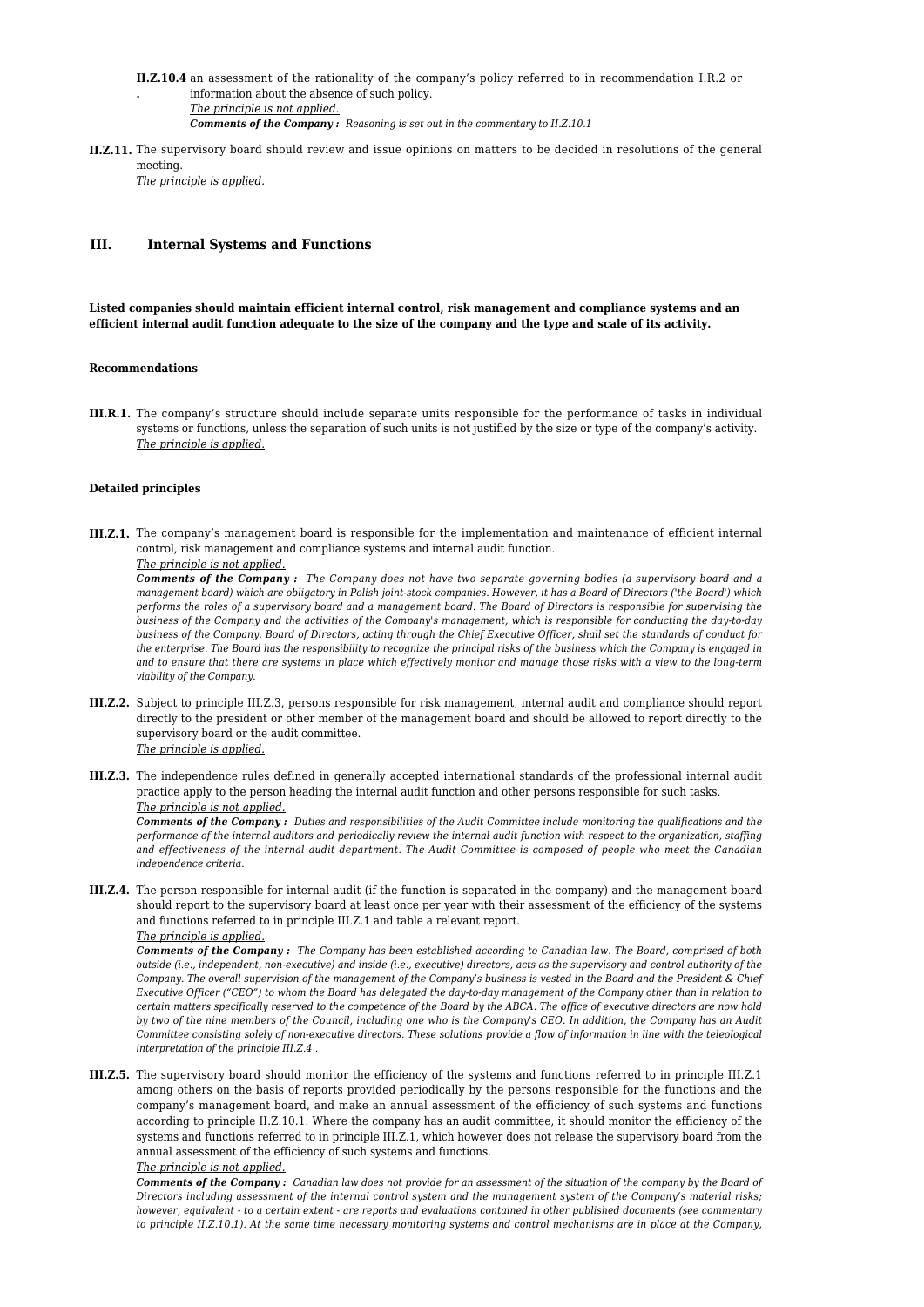- **II.Z.10.4** an assessment of the rationality of the company's policy referred to in recommendation I.R.2 or **.** information about the absence of such policy. *The principle is not applied.*
	- *Comments of the Company : Reasoning is set out in the commentary to II.Z.10.1*
- **II.Z.11.** The supervisory board should review and issue opinions on matters to be decided in resolutions of the general meeting.

*The principle is applied.*

# **III. Internal Systems and Functions**

**Listed companies should maintain efficient internal control, risk management and compliance systems and an efficient internal audit function adequate to the size of the company and the type and scale of its activity.**

### **Recommendations**

**III.R.1.** The company's structure should include separate units responsible for the performance of tasks in individual systems or functions, unless the separation of such units is not justified by the size or type of the company's activity. *The principle is applied.*

## **Detailed principles**

**III.Z.1.** The company's management board is responsible for the implementation and maintenance of efficient internal control, risk management and compliance systems and internal audit function.

# *The principle is not applied.*

*Comments of the Company : The Company does not have two separate governing bodies (a supervisory board and a management board) which are obligatory in Polish joint-stock companies. However, it has a Board of Directors ('the Board') which performs the roles of a supervisory board and a management board. The Board of Directors is responsible for supervising the business of the Company and the activities of the Company's management, which is responsible for conducting the day-to-day business of the Company. Board of Directors, acting through the Chief Executive Officer, shall set the standards of conduct for the enterprise. The Board has the responsibility to recognize the principal risks of the business which the Company is engaged in and to ensure that there are systems in place which effectively monitor and manage those risks with a view to the long-term viability of the Company.*

- **III.Z.2.** Subject to principle III.Z.3, persons responsible for risk management, internal audit and compliance should report directly to the president or other member of the management board and should be allowed to report directly to the supervisory board or the audit committee. *The principle is applied.*
- **III.Z.3.** The independence rules defined in generally accepted international standards of the professional internal audit practice apply to the person heading the internal audit function and other persons responsible for such tasks. *The principle is not applied.*

*Comments of the Company : Duties and responsibilities of the Audit Committee include monitoring the qualifications and the performance of the internal auditors and periodically review the internal audit function with respect to the organization, staffing and effectiveness of the internal audit department. The Audit Committee is composed of people who meet the Canadian independence criteria.*

**III.Z.4.** The person responsible for internal audit (if the function is separated in the company) and the management board should report to the supervisory board at least once per year with their assessment of the efficiency of the systems and functions referred to in principle III.Z.1 and table a relevant report. *The principle is applied.*

*Comments of the Company : The Company has been established according to Canadian law. The Board, comprised of both outside (i.e., independent, non-executive) and inside (i.e., executive) directors, acts as the supervisory and control authority of the Company. The overall supervision of the management of the Company's business is vested in the Board and the President & Chief Executive Officer ("CEO") to whom the Board has delegated the day-to-day management of the Company other than in relation to certain matters specifically reserved to the competence of the Board by the ABCA. The office of executive directors are now hold by two of the nine members of the Council, including one who is the Company's CEO. In addition, the Company has an Audit Committee consisting solely of non-executive directors. These solutions provide a flow of information in line with the teleological interpretation of the principle III.Z.4 .*

**III.Z.5.** The supervisory board should monitor the efficiency of the systems and functions referred to in principle III.Z.1 among others on the basis of reports provided periodically by the persons responsible for the functions and the company's management board, and make an annual assessment of the efficiency of such systems and functions according to principle II.Z.10.1. Where the company has an audit committee, it should monitor the efficiency of the systems and functions referred to in principle III.Z.1, which however does not release the supervisory board from the annual assessment of the efficiency of such systems and functions.

# *The principle is not applied.*

*Comments of the Company : Canadian law does not provide for an assessment of the situation of the company by the Board of Directors including assessment of the internal control system and the management system of the Company's material risks; however, equivalent - to a certain extent - are reports and evaluations contained in other published documents (see commentary to principle II.Z.10.1). At the same time necessary monitoring systems and control mechanisms are in place at the Company,*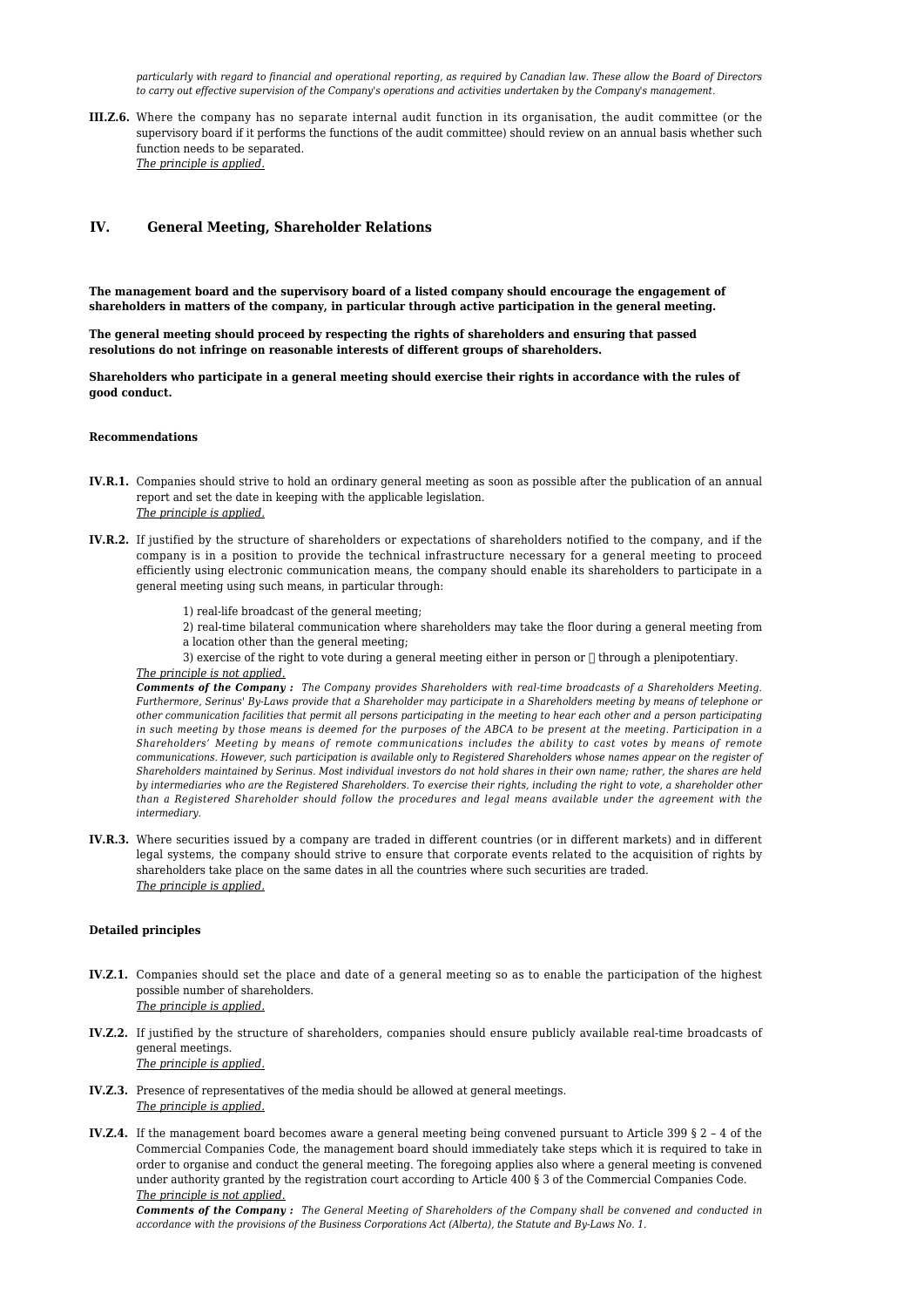*particularly with regard to financial and operational reporting, as required by Canadian law. These allow the Board of Directors to carry out effective supervision of the Company's operations and activities undertaken by the Company's management.*

**III.Z.6.** Where the company has no separate internal audit function in its organisation, the audit committee (or the supervisory board if it performs the functions of the audit committee) should review on an annual basis whether such function needs to be separated. *The principle is applied.*

# **IV. General Meeting, Shareholder Relations**

**The management board and the supervisory board of a listed company should encourage the engagement of shareholders in matters of the company, in particular through active participation in the general meeting.**

**The general meeting should proceed by respecting the rights of shareholders and ensuring that passed resolutions do not infringe on reasonable interests of different groups of shareholders.**

**Shareholders who participate in a general meeting should exercise their rights in accordance with the rules of good conduct.**

## **Recommendations**

- **IV.R.1.** Companies should strive to hold an ordinary general meeting as soon as possible after the publication of an annual report and set the date in keeping with the applicable legislation. *The principle is applied.*
- **IV.R.2.** If justified by the structure of shareholders or expectations of shareholders notified to the company, and if the company is in a position to provide the technical infrastructure necessary for a general meeting to proceed efficiently using electronic communication means, the company should enable its shareholders to participate in a general meeting using such means, in particular through:
	- 1) real-life broadcast of the general meeting;
	- 2) real-time bilateral communication where shareholders may take the floor during a general meeting from a location other than the general meeting;
	- 3) exercise of the right to vote during a general meeting either in person or  $\Box$  through a plenipotentiary.

# *The principle is not applied.*

*Comments of the Company : The Company provides Shareholders with real-time broadcasts of a Shareholders Meeting. Furthermore, Serinus' By-Laws provide that a Shareholder may participate in a Shareholders meeting by means of telephone or other communication facilities that permit all persons participating in the meeting to hear each other and a person participating in such meeting by those means is deemed for the purposes of the ABCA to be present at the meeting. Participation in a Shareholders' Meeting by means of remote communications includes the ability to cast votes by means of remote communications. However, such participation is available only to Registered Shareholders whose names appear on the register of Shareholders maintained by Serinus. Most individual investors do not hold shares in their own name; rather, the shares are held by intermediaries who are the Registered Shareholders. To exercise their rights, including the right to vote, a shareholder other than a Registered Shareholder should follow the procedures and legal means available under the agreement with the intermediary.*

**IV.R.3.** Where securities issued by a company are traded in different countries (or in different markets) and in different legal systems, the company should strive to ensure that corporate events related to the acquisition of rights by shareholders take place on the same dates in all the countries where such securities are traded. *The principle is applied.*

#### **Detailed principles**

- **IV.Z.1.** Companies should set the place and date of a general meeting so as to enable the participation of the highest possible number of shareholders. *The principle is applied.*
- **IV.Z.2.** If justified by the structure of shareholders, companies should ensure publicly available real-time broadcasts of general meetings. *The principle is applied.*
- **IV.Z.3.** Presence of representatives of the media should be allowed at general meetings. *The principle is applied.*
- **IV.Z.4.** If the management board becomes aware a general meeting being convened pursuant to Article 399 § 2 4 of the Commercial Companies Code, the management board should immediately take steps which it is required to take in order to organise and conduct the general meeting. The foregoing applies also where a general meeting is convened under authority granted by the registration court according to Article 400 § 3 of the Commercial Companies Code. *The principle is not applied.*

*Comments of the Company : The General Meeting of Shareholders of the Company shall be convened and conducted in accordance with the provisions of the Business Corporations Act (Alberta), the Statute and By-Laws No. 1.*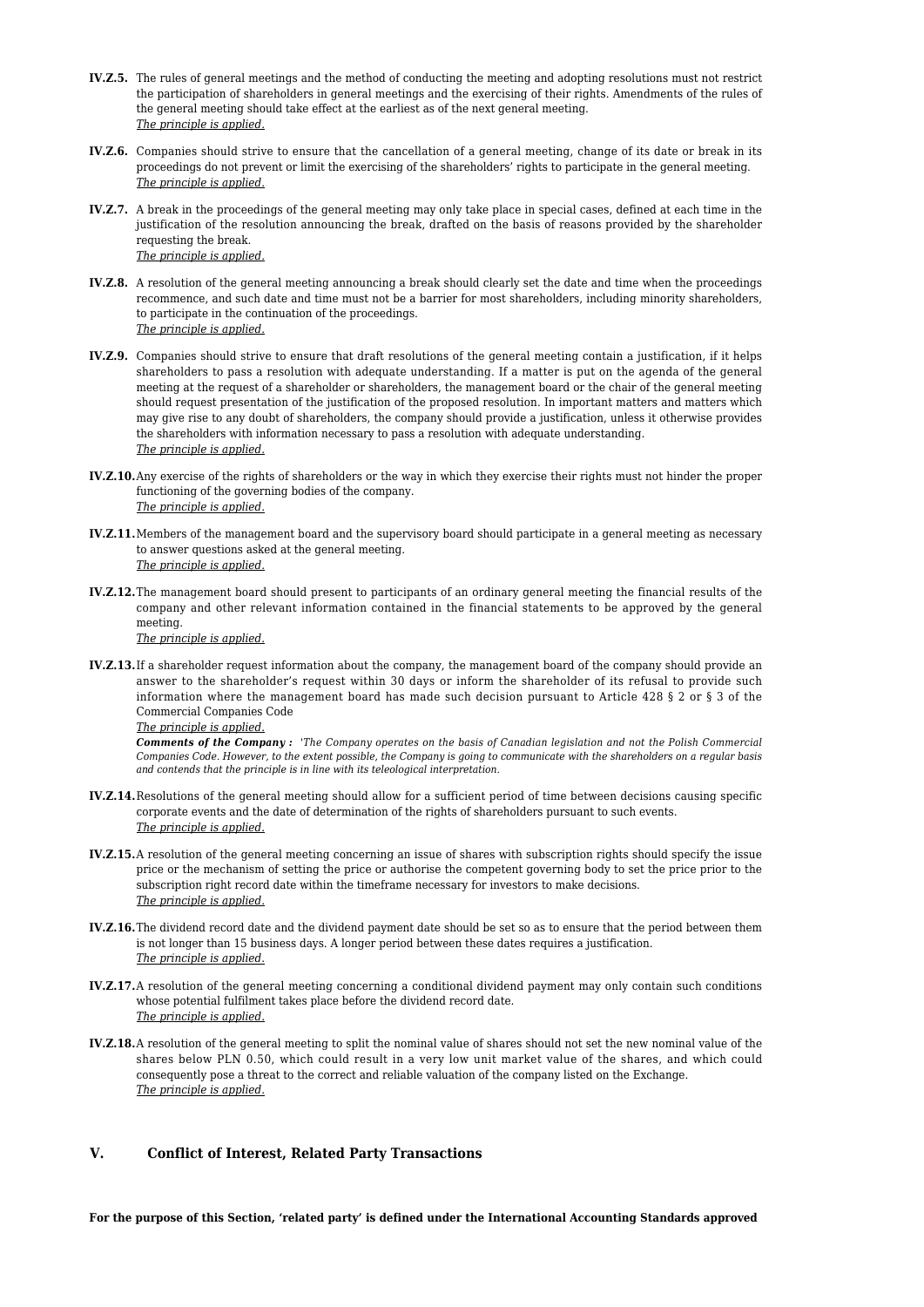- **IV.Z.5.** The rules of general meetings and the method of conducting the meeting and adopting resolutions must not restrict the participation of shareholders in general meetings and the exercising of their rights. Amendments of the rules of the general meeting should take effect at the earliest as of the next general meeting. *The principle is applied.*
- **IV.Z.6.** Companies should strive to ensure that the cancellation of a general meeting, change of its date or break in its proceedings do not prevent or limit the exercising of the shareholders' rights to participate in the general meeting. *The principle is applied.*
- **IV.Z.7.** A break in the proceedings of the general meeting may only take place in special cases, defined at each time in the justification of the resolution announcing the break, drafted on the basis of reasons provided by the shareholder requesting the break. *The principle is applied.*
- **IV.Z.8.** A resolution of the general meeting announcing a break should clearly set the date and time when the proceedings recommence, and such date and time must not be a barrier for most shareholders, including minority shareholders, to participate in the continuation of the proceedings. *The principle is applied.*
- **IV.Z.9.** Companies should strive to ensure that draft resolutions of the general meeting contain a justification, if it helps shareholders to pass a resolution with adequate understanding. If a matter is put on the agenda of the general meeting at the request of a shareholder or shareholders, the management board or the chair of the general meeting should request presentation of the justification of the proposed resolution. In important matters and matters which may give rise to any doubt of shareholders, the company should provide a justification, unless it otherwise provides the shareholders with information necessary to pass a resolution with adequate understanding. *The principle is applied.*
- **IV.Z.10.**Any exercise of the rights of shareholders or the way in which they exercise their rights must not hinder the proper functioning of the governing bodies of the company. *The principle is applied.*
- **IV.Z.11.**Members of the management board and the supervisory board should participate in a general meeting as necessary to answer questions asked at the general meeting. *The principle is applied.*
- **IV.Z.12.**The management board should present to participants of an ordinary general meeting the financial results of the company and other relevant information contained in the financial statements to be approved by the general meeting.

*The principle is applied.*

**IV.Z.13.**If a shareholder request information about the company, the management board of the company should provide an answer to the shareholder's request within 30 days or inform the shareholder of its refusal to provide such information where the management board has made such decision pursuant to Article 428 § 2 or § 3 of the Commercial Companies Code

```
The principle is applied.
```
*Comments of the Company : 'The Company operates on the basis of Canadian legislation and not the Polish Commercial Companies Code. However, to the extent possible, the Company is going to communicate with the shareholders on a regular basis and contends that the principle is in line with its teleological interpretation.*

- **IV.Z.14.**Resolutions of the general meeting should allow for a sufficient period of time between decisions causing specific corporate events and the date of determination of the rights of shareholders pursuant to such events. *The principle is applied.*
- **IV.Z.15.**A resolution of the general meeting concerning an issue of shares with subscription rights should specify the issue price or the mechanism of setting the price or authorise the competent governing body to set the price prior to the subscription right record date within the timeframe necessary for investors to make decisions. *The principle is applied.*
- **IV.Z.16.**The dividend record date and the dividend payment date should be set so as to ensure that the period between them is not longer than 15 business days. A longer period between these dates requires a justification. *The principle is applied.*
- **IV.Z.17.**A resolution of the general meeting concerning a conditional dividend payment may only contain such conditions whose potential fulfilment takes place before the dividend record date. *The principle is applied.*
- **IV.Z.18.**A resolution of the general meeting to split the nominal value of shares should not set the new nominal value of the shares below PLN 0.50, which could result in a very low unit market value of the shares, and which could consequently pose a threat to the correct and reliable valuation of the company listed on the Exchange. *The principle is applied.*

# **V. Conflict of Interest, Related Party Transactions**

**For the purpose of this Section, 'related party' is defined under the International Accounting Standards approved**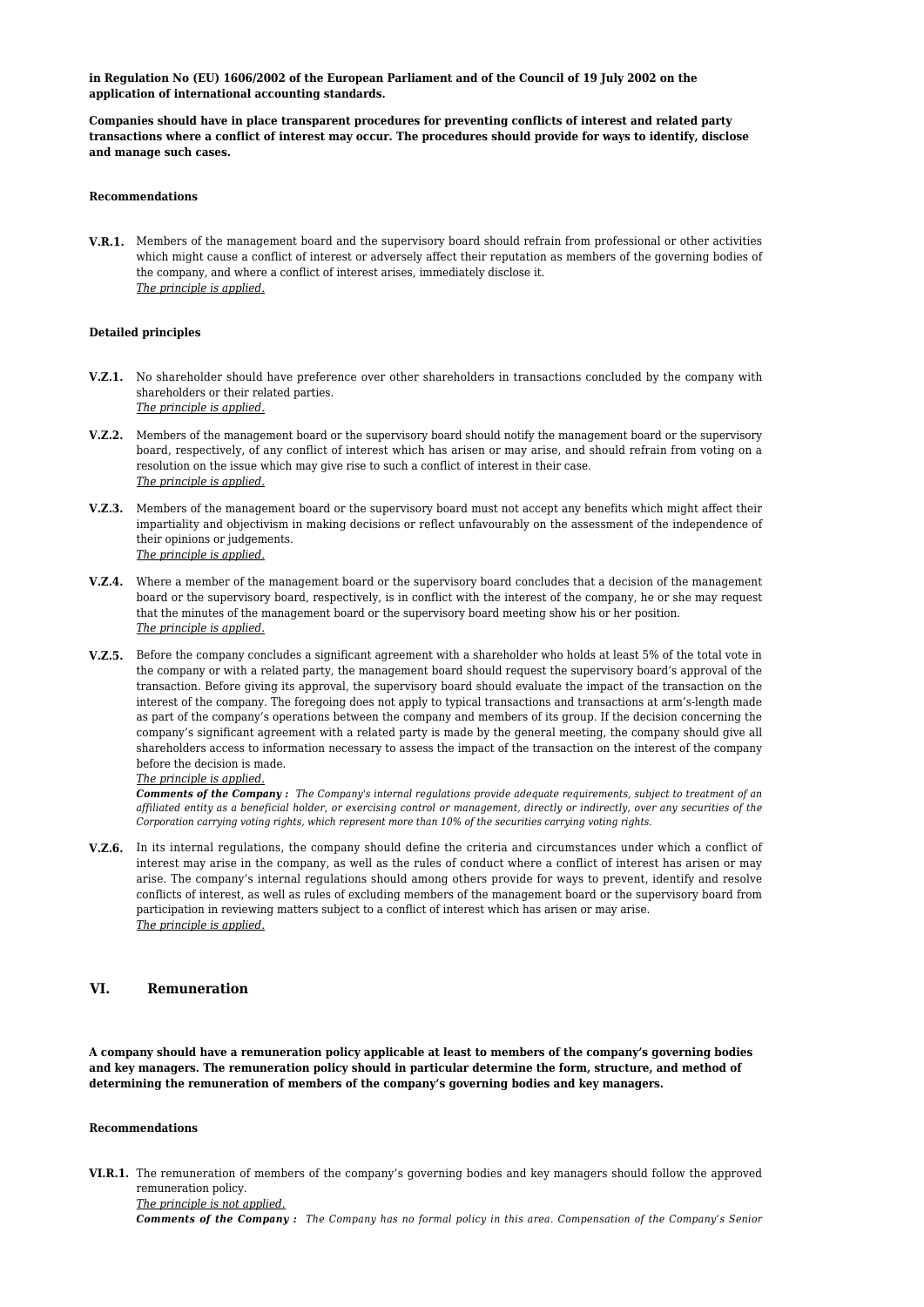**in Regulation No (EU) 1606/2002 of the European Parliament and of the Council of 19 July 2002 on the application of international accounting standards.**

**Companies should have in place transparent procedures for preventing conflicts of interest and related party transactions where a conflict of interest may occur. The procedures should provide for ways to identify, disclose and manage such cases.**

### **Recommendations**

**V.R.1.** Members of the management board and the supervisory board should refrain from professional or other activities which might cause a conflict of interest or adversely affect their reputation as members of the governing bodies of the company, and where a conflict of interest arises, immediately disclose it. *The principle is applied.*

# **Detailed principles**

- **V.Z.1.** No shareholder should have preference over other shareholders in transactions concluded by the company with shareholders or their related parties. *The principle is applied.*
- **V.Z.2.** Members of the management board or the supervisory board should notify the management board or the supervisory board, respectively, of any conflict of interest which has arisen or may arise, and should refrain from voting on a resolution on the issue which may give rise to such a conflict of interest in their case. *The principle is applied.*
- **V.Z.3.** Members of the management board or the supervisory board must not accept any benefits which might affect their impartiality and objectivism in making decisions or reflect unfavourably on the assessment of the independence of their opinions or judgements. *The principle is applied.*
- **V.Z.4.** Where a member of the management board or the supervisory board concludes that a decision of the management board or the supervisory board, respectively, is in conflict with the interest of the company, he or she may request that the minutes of the management board or the supervisory board meeting show his or her position. *The principle is applied.*
- **V.Z.5.** Before the company concludes a significant agreement with a shareholder who holds at least 5% of the total vote in the company or with a related party, the management board should request the supervisory board's approval of the transaction. Before giving its approval, the supervisory board should evaluate the impact of the transaction on the interest of the company. The foregoing does not apply to typical transactions and transactions at arm's-length made as part of the company's operations between the company and members of its group. If the decision concerning the company's significant agreement with a related party is made by the general meeting, the company should give all shareholders access to information necessary to assess the impact of the transaction on the interest of the company before the decision is made.

# *The principle is applied.*

*Comments of the Company : The Company's internal regulations provide adequate requirements, subject to treatment of an affiliated entity as a beneficial holder, or exercising control or management, directly or indirectly, over any securities of the Corporation carrying voting rights, which represent more than 10% of the securities carrying voting rights.*

**V.Z.6.** In its internal regulations, the company should define the criteria and circumstances under which a conflict of interest may arise in the company, as well as the rules of conduct where a conflict of interest has arisen or may arise. The company's internal regulations should among others provide for ways to prevent, identify and resolve conflicts of interest, as well as rules of excluding members of the management board or the supervisory board from participation in reviewing matters subject to a conflict of interest which has arisen or may arise. *The principle is applied.*

# **VI. Remuneration**

**A company should have a remuneration policy applicable at least to members of the company's governing bodies and key managers. The remuneration policy should in particular determine the form, structure, and method of determining the remuneration of members of the company's governing bodies and key managers.**

# **Recommendations**

**VI.R.1.** The remuneration of members of the company's governing bodies and key managers should follow the approved remuneration policy. *The principle is not applied.*

*Comments of the Company : The Company has no formal policy in this area. Compensation of the Company's Senior*